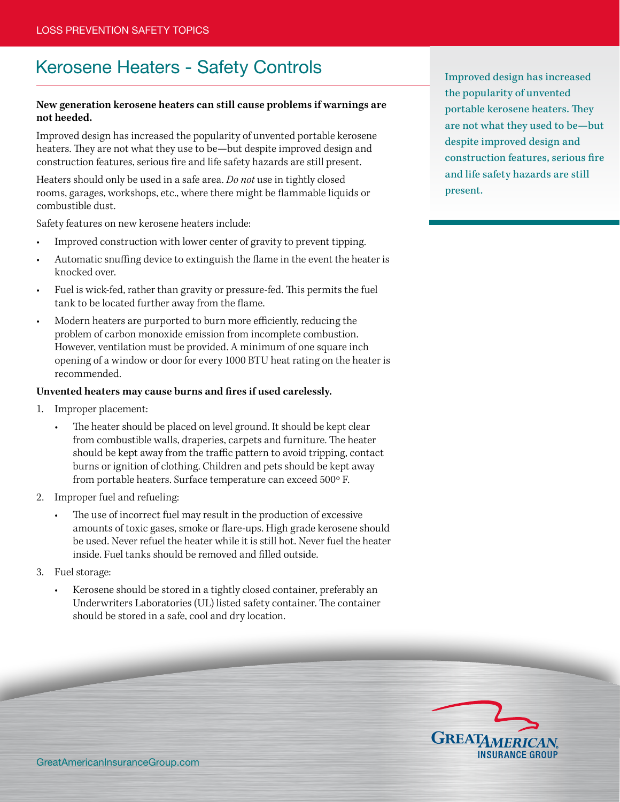## Kerosene Heaters - Safety Controls<br>
Improved design has increased

## **New generation kerosene heaters can still cause problems if warnings are not heeded.**

Improved design has increased the popularity of unvented portable kerosene heaters. They are not what they use to be—but despite improved design and construction features, serious fire and life safety hazards are still present.

Heaters should only be used in a safe area. *Do not* use in tightly closed rooms, garages, workshops, etc., where there might be flammable liquids or combustible dust.

Safety features on new kerosene heaters include:

- Improved construction with lower center of gravity to prevent tipping.
- Automatic snuffing device to extinguish the flame in the event the heater is knocked over.
- Fuel is wick-fed, rather than gravity or pressure-fed. This permits the fuel tank to be located further away from the flame.
- Modern heaters are purported to burn more efficiently, reducing the problem of carbon monoxide emission from incomplete combustion. However, ventilation must be provided. A minimum of one square inch opening of a window or door for every 1000 BTU heat rating on the heater is recommended.

## **Unvented heaters may cause burns and fires if used carelessly.**

- 1. Improper placement:
	- The heater should be placed on level ground. It should be kept clear from combustible walls, draperies, carpets and furniture. The heater should be kept away from the traffic pattern to avoid tripping, contact burns or ignition of clothing. Children and pets should be kept away from portable heaters. Surface temperature can exceed 500°F.
- 2. Improper fuel and refueling:
	- The use of incorrect fuel may result in the production of excessive amounts of toxic gases, smoke or flare-ups. High grade kerosene should be used. Never refuel the heater while it is still hot. Never fuel the heater inside. Fuel tanks should be removed and filled outside.
- 3. Fuel storage:
	- Kerosene should be stored in a tightly closed container, preferably an Underwriters Laboratories (UL) listed safety container. The container should be stored in a safe, cool and dry location.

the popularity of unvented portable kerosene heaters. They are not what they used to be—but despite improved design and construction features, serious fire and life safety hazards are still present.